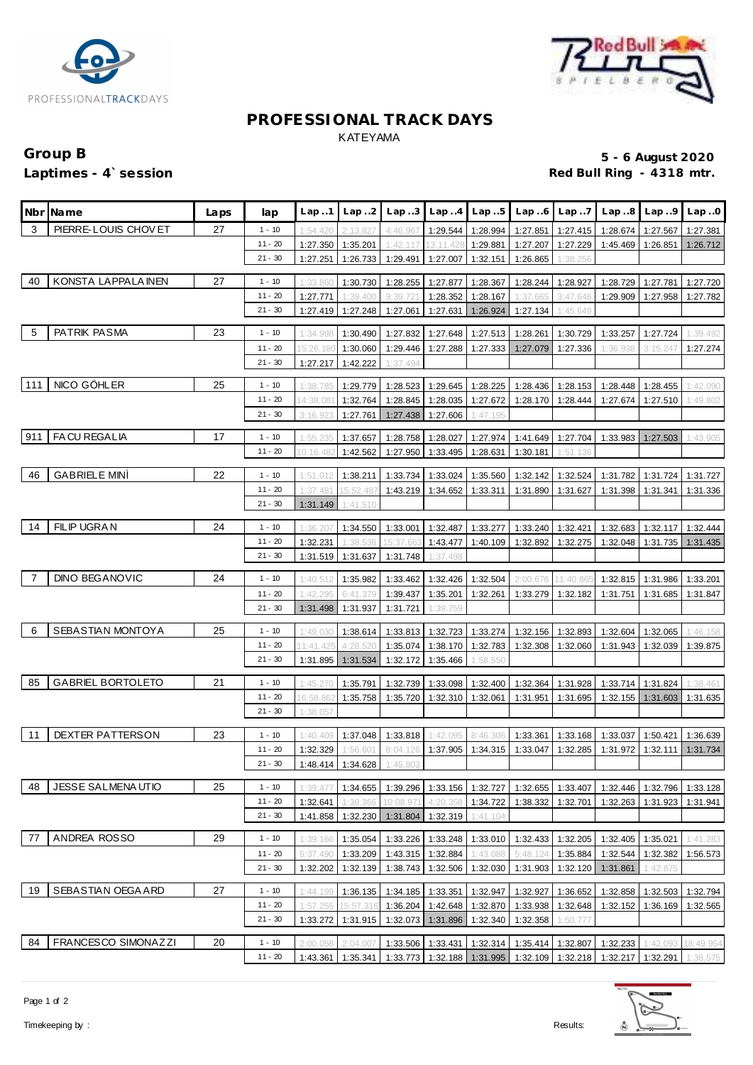



# **PROFESSIONAL TRACK DAYS** KATEYAMA

# Group B **5 - 6 August 2020**<br>
Laptimes - 4`session **1999 and 2020**<br>
Red Bull Ring - 4318 mtr. Red Bull Ring - 4318 mtr.

|     | Nbr Name                   | Laps | lap                    | Lap.1               | Lap.2                         | Lap.3                | Lap.4                          | Lap.5                         |                      | $Lap6$ $Lap7$        |                                                                            | $Lap.8$ $Lap.9$ | Lap.0     |
|-----|----------------------------|------|------------------------|---------------------|-------------------------------|----------------------|--------------------------------|-------------------------------|----------------------|----------------------|----------------------------------------------------------------------------|-----------------|-----------|
| 3   | PIERRE-LOUIS CHOVET        | 27   | $1 - 10$               | 1:54.420            | 2:13.827                      | 4:46.967             |                                | 1:29.544 1:28.994             | 1:27.851             | 1:27.415             | 1:28.674                                                                   | 1:27.567        | 1:27.381  |
|     |                            |      | $11 - 20$              | 1:27.350            | 1:35.201                      | 1:42.117             | 13:11.428                      | 1:29.881                      | 1:27.207             | 1:27.229             | 1:45.469                                                                   | 1:26.851        | 1:26.712  |
|     |                            |      | $21 - 30$              | 1:27.251            | 1:26.733                      | 1:29.491             | 1:27.007                       | 1:32.151                      | 1:26.865             | 1:38.256             |                                                                            |                 |           |
| 40  | KONSTA LAPPALA INEN        | 27   |                        |                     |                               |                      |                                |                               |                      |                      |                                                                            |                 |           |
|     |                            |      | $1 - 10$               | 1:33.860            | 1:30.730                      | 1:28.255             |                                | 1:27.877 1:28.367             | 1:28.244             | 1:28.927             | 1:28.729                                                                   | 1:27.781        | 1:27.720  |
|     |                            |      | $11 - 20$<br>$21 - 30$ | 1:27.771            | 1:39.400                      | 9:39.72              |                                | 1:28.352 1:28.167             | 1:37.665             | 3:47.646             | 1:29.909                                                                   | 1:27.958        | 1:27.782  |
|     |                            |      |                        | 1:27.419            | 1:27.248                      | 1:27.061             |                                | 1:27.631 1:26.924             | 1:27.134             | 1:45.649             |                                                                            |                 |           |
| 5   | PATRIK PASMA               | 23   | $1 - 10$               | 1:34.998            | 1:30.490                      | 1:27.832             | 1:27.648                       | 1:27.513                      | 1:28.261             | 1:30.729             | 1:33.257                                                                   | 1:27.724        | 1:39.492  |
|     |                            |      | $11 - 20$              | 15:26.180           | 1:30.060                      | 1:29.446             |                                | 1:27.288 1:27.333             | 1:27.079             | 1:27.336             | 1:36.938                                                                   | 3:15.247        | 1:27.274  |
|     |                            |      | $21 - 30$              | 1:27.217            | 1:42.222                      | 1:37.494             |                                |                               |                      |                      |                                                                            |                 |           |
| 111 | NICO GÖHLER                | 25   | $1 - 10$               | 1:38.785            | 1:29.779                      | 1:28.523             | 1:29.645                       | 1:28.225                      | 1:28.436             | 1:28.153             | 1:28.448                                                                   | 1:28.455        | 1:42.090  |
|     |                            |      | $11 - 20$              | 14:38.081           | 1:32.764                      | 1:28.845             | 1:28.035                       | 1:27.672                      | 1:28.170             | 1:28.444             | 1:27.674                                                                   | 1:27.510        | 1:49.802  |
|     |                            |      | $21 - 30$              | 3:16.923            | 1:27.761                      | 1:27.438             | 1:27.606                       | 1:47.195                      |                      |                      |                                                                            |                 |           |
|     |                            |      |                        |                     |                               |                      |                                |                               |                      |                      |                                                                            |                 |           |
| 911 | FA CU REGALIA              | 17   | $1 - 10$               | 1:55.235            | 1:37.657                      | 1:28.758             | 1:28.027                       | 1:27.974                      | 1:41.649             | 1:27.704             | 1:33.983                                                                   | 1:27.503        | 1:43.905  |
|     |                            |      | $11 - 20$              | 10:16.482           | 1:42.562                      | 1:27.950             | 1:33.495                       | 1:28.631                      | 1:30.181             | 1:51.136             |                                                                            |                 |           |
| 46  | <b>GABRIELE MINI</b>       | 22   | $1 - 10$               | 1:51.012            | 1:38.211                      | 1:33.734             | 1:33.024                       | 1:35.560                      | 1:32.142             | 1:32.524             | 1:31.782                                                                   | 1:31.724        | 1:31.727  |
|     |                            |      | $11 - 20$              | 1:37.481            | 15:52.487                     | 1:43.219             | 1:34.652                       | 1:33.311                      | 1:31.890             | 1:31.627             | 1:31.398                                                                   | 1:31.341        | 1:31.336  |
|     |                            |      | $21 - 30$              | 1:31.149            | 1:41.510                      |                      |                                |                               |                      |                      |                                                                            |                 |           |
|     |                            |      |                        |                     |                               |                      |                                |                               |                      |                      |                                                                            |                 |           |
| 14  | FILIP UGRAN                | 24   | $1 - 10$               | 1:36.207            | 1:34.550                      | 1:33.001             |                                | 1:32.487 1:33.277             | 1:33.240             | 1:32.421             | 1:32.683                                                                   | 1:32.117        | 1:32.444  |
|     |                            |      | $11 - 20$              | 1:32.231            | 1:38.536                      | 15:37.663            | 1:43.477                       | 1:40.109                      | 1:32.892             | 1:32.275             | 1:32.048                                                                   | 1:31.735        | 1:31.435  |
|     |                            |      | $21 - 30$              | 1:31.519            | 1:31.637                      | 1:31.748             | 1:37.498                       |                               |                      |                      |                                                                            |                 |           |
| -7  | <b>DINO BEGANOVIC</b>      | 24   | $1 - 10$               | 1:40.512            | 1:35.982                      | 1:33.462             | 1:32.426                       | 1:32.504                      | 2:00.676             | 11:40.865            | 1:32.815                                                                   | 1:31.986        | 1:33.201  |
|     |                            |      | $11 - 20$              | 1:42.295            | 6:41.379                      | 1:39.437             | 1:35.201                       | 1:32.261                      | 1:33.279             | 1:32.182             | 1:31.751                                                                   | 1:31.685        | 1:31.847  |
|     |                            |      | $21 - 30$              | 1:31.498            | 1:31.937                      | 1:31.721             | 1:39.759                       |                               |                      |                      |                                                                            |                 |           |
|     | SEBASTIAN MONTOYA          |      |                        |                     |                               |                      |                                |                               |                      |                      |                                                                            |                 |           |
| 6   |                            | 25   | $1 - 10$<br>$11 - 20$  | 1:49.030            | 1:38.614                      |                      | 1:33.813 1:32.723 1:33.274     |                               |                      | 1:32.156 1:32.893    | 1:32.604                                                                   | 1:32.065        | 1:46.158  |
|     |                            |      | $21 - 30$              | 11:41.425           | 4:28.520                      | 1:35.074             |                                | 1:38.170 1:32.783             | 1:32.308             | 1:32.060             | 1:31.943                                                                   | 1:32.039        | 1:39.875  |
|     |                            |      |                        | 1:31.895            | 1:31.534                      | 1:32.172             | 1:35.466                       | 1:58.550                      |                      |                      |                                                                            |                 |           |
| 85  | <b>GABRIEL BORTOLETO</b>   | 21   | $1 - 10$               | 1:45.270            | 1:35.791                      | 1:32.739             | 1:33.098                       | 1:32.400                      | 1:32.364             | 1:31.928             | 1:33.714                                                                   | 1:31.824        | 1:38.461  |
|     |                            |      | $11 - 20$              | 16:58.862           | 1:35.758                      | 1:35.720             |                                | 1:32.310 1:32.061             | 1:31.951             | 1:31.695             | 1:32.155                                                                   | 1:31.603        | 1:31.635  |
|     |                            |      | $21 - 30$              | 1:38.057            |                               |                      |                                |                               |                      |                      |                                                                            |                 |           |
| -11 | DEXTER PATTERSON           | 23   | $1 - 10$               |                     |                               |                      |                                |                               |                      |                      |                                                                            |                 |           |
|     |                            |      | $11 - 20$              | 1:40.409            | 1:37.048                      | 1:33.818             | 1:42.095                       | 8:46.306<br>1:37.905 1:34.315 | 1:33.361<br>1:33.047 | 1:33.168             | 1:33.037<br>1:31.972                                                       | 1:50.421        | 1:36.639  |
|     |                            |      | $21 - 30$              | 1:32.329            | 1:56.601<br>1:48.414 1:34.628 | 8:04.126<br>1:45.803 |                                |                               |                      | 1:32.285             |                                                                            | 1:32.111        | 1:31.734  |
|     |                            |      |                        |                     |                               |                      |                                |                               |                      |                      |                                                                            |                 |           |
| 48  | <b>JESSE SALMENAUTIO</b>   | 25   | $1 - 10$               | 1:39.47             | 1:34.655                      | 1:39.296             |                                | 1:33.156 1:32.727             | 1:32.655             | 1:33.407             | 1:32.446                                                                   | 1:32.796        | 1:33.128  |
|     |                            |      | 11 - 20                | 1:32.641            | 1:38.366                      | 10:08.971            | 4:20.358                       | 1:34.722                      | 1:38.332             | 1:32.701             | 1:32.263                                                                   | 1:31.923        | 1:31.941  |
|     |                            |      | $21 - 30$              | 1:41.858            | 1:32.230                      | 1:31.804             | 1:32.319                       | 1:41.104                      |                      |                      |                                                                            |                 |           |
| 77  | ANDREA ROSSO               | 29   | $1 - 10$               | 1:39.166            | 1:35.054                      | 1:33.226             | 1:33.248                       | 1:33.010                      | 1:32.433             | 1:32.205             | 1:32.405                                                                   | 1:35.021        | 1:41.283  |
|     |                            |      | 11 - 20                | 6:37.490            |                               |                      |                                | 1:43.088                      | 5:48.124             |                      |                                                                            | 1:32.382        |           |
|     |                            |      | $21 - 30$              | 1:32.202            | 1:33.209<br>1:32.139          | 1:43.315<br>1:38.743 | 1:32.884                       | 1:32.506 1:32.030             | 1:31.903             | 1:35.884<br>1:32.120 | 1:32.544<br>1:31.861                                                       | 1:42.875        | 1:56.573  |
|     |                            |      |                        |                     |                               |                      |                                |                               |                      |                      |                                                                            |                 |           |
| 19  | SEBASTIAN OEGA ARD         | 27   | $1 - 10$               | 1:44.199            | 1:36.135                      | 1:34.185             |                                | 1:33.351   1:32.947           | 1:32.927             | 1:36.652             | 1:32.858                                                                   | 1:32.503        | 1:32.794  |
|     |                            |      | 11 - 20                | 1:57.255            | 15:57.316                     | 1:36.204             |                                | 1:42.648 1:32.870             | 1:33.938             | 1:32.648             | 1:32.152                                                                   | 1:36.169        | 1:32.565  |
|     |                            |      | $21 - 30$              | 1:33.272            | 1:31.915                      | 1:32.073             | 1:31.896                       | 1:32.340                      | 1:32.358             | 1:50.777             |                                                                            |                 |           |
| 84  | <b>FRANCESCO SIMONAZZI</b> | 20   | $1 - 10$               | 2:00.058            | 2:04.007                      |                      | 1:33.506   1:33.431   1:32.314 |                               |                      | 1:35.414 1:32.807    | 1:32.233                                                                   | 1:42.093        | 18:49.954 |
|     |                            |      | $11 - 20$              | 1:43.361   1:35.341 |                               |                      |                                |                               |                      |                      | 1:33.773   1:32.188   1:31.995   1:32.109   1:32.218   1:32.217   1:32.291 |                 | 1:38.575  |